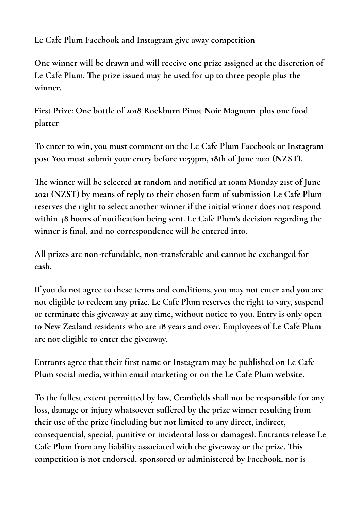**Le Cafe Plum Facebook and Instagram give away competition**

**One winner will be drawn and will receive one prize assigned at the discretion of Le Cafe Plum. The prize issued may be used for up to three people plus the winner.**

**First Prize: One bottle of 2018 Rockburn Pinot Noir Magnum plus one food platter**

**To enter to win, you must comment on the Le Cafe Plum Facebook or Instagram post You must submit your entry before 11:59pm, 18th of June 2021 (NZST).**

**The winner will be selected at random and notified at 10am Monday 21st of June 2021 (NZST) by means of reply to their chosen form of submission Le Cafe Plum reserves the right to select another winner if the initial winner does not respond**  within 48 hours of notification being sent. Le Cafe Plum's decision regarding the **winner is final, and no correspondence will be entered into.**

**All prizes are non-refundable, non-transferable and cannot be exchanged for cash.**

**If you do not agree to these terms and conditions, you may not enter and you are not eligible to redeem any prize. Le Cafe Plum reserves the right to vary, suspend or terminate this giveaway at any time, without notice to you. Entry is only open to New Zealand residents who are 18 years and over. Employees of Le Cafe Plum are not eligible to enter the giveaway.**

**Entrants agree that their first name or Instagram may be published on Le Cafe Plum social media, within email marketing or on the Le Cafe Plum website.**

**To the fullest extent permitted by law, Cranfields shall not be responsible for any loss, damage or injury whatsoever suffered by the prize winner resulting from their use of the prize (including but not limited to any direct, indirect, consequential, special, punitive or incidental loss or damages). Entrants release Le Cafe Plum from any liability associated with the giveaway or the prize. This competition is not endorsed, sponsored or administered by Facebook, nor is**